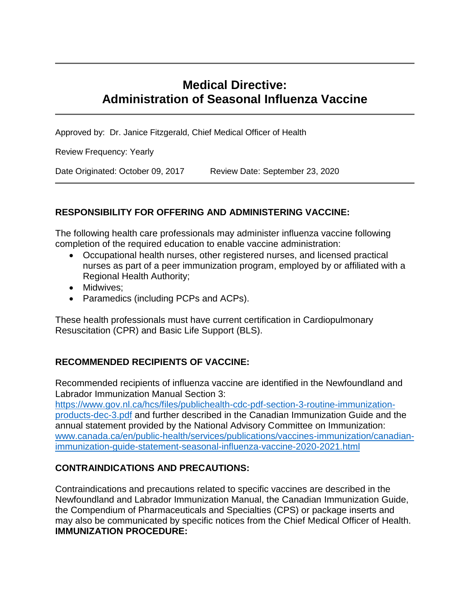# **Medical Directive: Administration of Seasonal Influenza Vaccine**

Approved by: Dr. Janice Fitzgerald, Chief Medical Officer of Health

Review Frequency: Yearly

Date Originated: October 09, 2017 Review Date: September 23, 2020

#### **RESPONSIBILITY FOR OFFERING AND ADMINISTERING VACCINE:**

The following health care professionals may administer influenza vaccine following completion of the required education to enable vaccine administration:

- Occupational health nurses, other registered nurses, and licensed practical nurses as part of a peer immunization program, employed by or affiliated with a Regional Health Authority;
- Midwives;
- Paramedics (including PCPs and ACPs).

These health professionals must have current certification in Cardiopulmonary Resuscitation (CPR) and Basic Life Support (BLS).

#### **RECOMMENDED RECIPIENTS OF VACCINE:**

Recommended recipients of influenza vaccine are identified in the Newfoundland and Labrador Immunization Manual Section 3:

[https://www.gov.nl.ca/hcs/files/publichealth-cdc-pdf-section-3-routine-immunization](https://www.gov.nl.ca/hcs/files/publichealth-cdc-pdf-section-3-routine-immunization-products-dec-3.pdf)[products-dec-3.pdf](https://www.gov.nl.ca/hcs/files/publichealth-cdc-pdf-section-3-routine-immunization-products-dec-3.pdf) and further described in the Canadian Immunization Guide and the annual statement provided by the National Advisory Committee on Immunization: [www.canada.ca/en/public-health/services/publications/vaccines-immunization/canadian](http://www.canada.ca/en/public-health/services/publications/vaccines-immunization/canadian-immunization-guide-statement-seasonal-influenza-vaccine-2020-2021.html)[immunization-guide-statement-seasonal-influenza-vaccine-2020-2021.html](http://www.canada.ca/en/public-health/services/publications/vaccines-immunization/canadian-immunization-guide-statement-seasonal-influenza-vaccine-2020-2021.html)

#### **CONTRAINDICATIONS AND PRECAUTIONS:**

Contraindications and precautions related to specific vaccines are described in the Newfoundland and Labrador Immunization Manual, the Canadian Immunization Guide, the Compendium of Pharmaceuticals and Specialties (CPS) or package inserts and may also be communicated by specific notices from the Chief Medical Officer of Health. **IMMUNIZATION PROCEDURE:**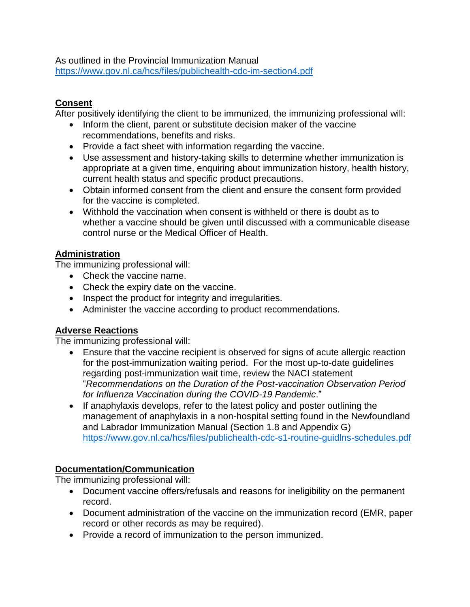#### As outlined in the Provincial Immunization Manual <https://www.gov.nl.ca/hcs/files/publichealth-cdc-im-section4.pdf>

### **Consent**

After positively identifying the client to be immunized, the immunizing professional will:

- Inform the client, parent or substitute decision maker of the vaccine recommendations, benefits and risks.
- Provide a fact sheet with information regarding the vaccine.
- Use assessment and history-taking skills to determine whether immunization is appropriate at a given time, enquiring about immunization history, health history, current health status and specific product precautions.
- Obtain informed consent from the client and ensure the consent form provided for the vaccine is completed.
- Withhold the vaccination when consent is withheld or there is doubt as to whether a vaccine should be given until discussed with a communicable disease control nurse or the Medical Officer of Health.

# **Administration**

The immunizing professional will:

- Check the vaccine name.
- Check the expiry date on the vaccine.
- Inspect the product for integrity and irregularities.
- Administer the vaccine according to product recommendations.

#### **Adverse Reactions**

The immunizing professional will:

- Ensure that the vaccine recipient is observed for signs of acute allergic reaction for the post-immunization waiting period. For the most up-to-date guidelines regarding post-immunization wait time, review the NACI statement "*Recommendations on the Duration of the Post-vaccination Observation Period for Influenza Vaccination during the COVID-19 Pandemic*."
- If anaphylaxis develops, refer to the latest policy and poster outlining the management of anaphylaxis in a non-hospital setting found in the Newfoundland and Labrador Immunization Manual (Section 1.8 and Appendix G) <https://www.gov.nl.ca/hcs/files/publichealth-cdc-s1-routine-guidlns-schedules.pdf>

# **Documentation/Communication**

The immunizing professional will:

- Document vaccine offers/refusals and reasons for ineligibility on the permanent record.
- Document administration of the vaccine on the immunization record (EMR, paper record or other records as may be required).
- Provide a record of immunization to the person immunized.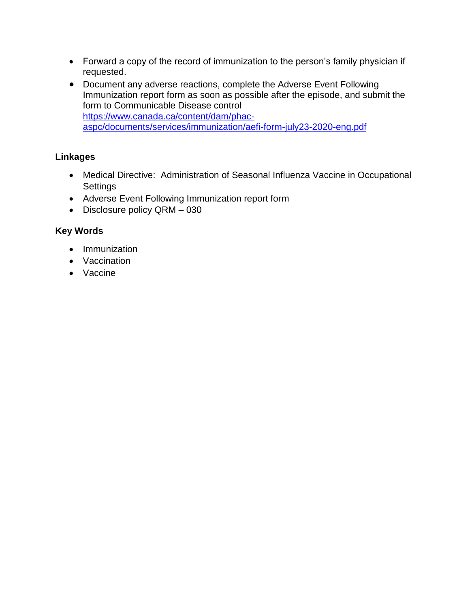- Forward a copy of the record of immunization to the person's family physician if requested.
- Document any adverse reactions, complete the Adverse Event Following Immunization report form as soon as possible after the episode, and submit the form to Communicable Disease control [https://www.canada.ca/content/dam/phac](https://www.canada.ca/content/dam/phac-aspc/documents/services/immunization/aefi-form-july23-2020-eng.pdf)[aspc/documents/services/immunization/aefi-form-july23-2020-eng.pdf](https://www.canada.ca/content/dam/phac-aspc/documents/services/immunization/aefi-form-july23-2020-eng.pdf)

# **Linkages**

- Medical Directive: Administration of Seasonal Influenza Vaccine in Occupational **Settings**
- Adverse Event Following Immunization report form
- Disclosure policy QRM 030

# **Key Words**

- Immunization
- Vaccination
- Vaccine